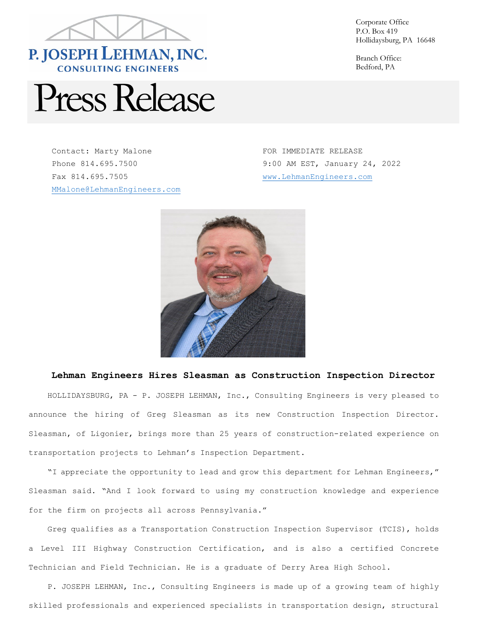

**CONSULTING ENGINEERS** 

Press Release

Contact: Marty Malone Phone 814.695.7500 Fax 814.695.7505 [MMalone@LehmanEngineers.com](mailto:MMalone@LehmanEngineers.com) Corporate Office P.O. Box 419 Hollidaysburg, PA 16648

Branch Office: Bedford, PA

FOR IMMEDIATE RELEASE 9:00 AM EST, January 24, 2022 [www.LehmanEngineers.com](http://www.lehmanengineers.com/)



**Lehman Engineers Hires Sleasman as Construction Inspection Director**  HOLLIDAYSBURG, PA - P. JOSEPH LEHMAN, Inc., Consulting Engineers is very pleased to announce the hiring of Greg Sleasman as its new Construction Inspection Director. Sleasman, of Ligonier, brings more than 25 years of construction-related experience on transportation projects to Lehman's Inspection Department.

"I appreciate the opportunity to lead and grow this department for Lehman Engineers," Sleasman said. "And I look forward to using my construction knowledge and experience for the firm on projects all across Pennsylvania."

Greg qualifies as a Transportation Construction Inspection Supervisor (TCIS), holds a Level III Highway Construction Certification, and is also a certified Concrete Technician and Field Technician. He is a graduate of Derry Area High School.

P. JOSEPH LEHMAN, Inc., Consulting Engineers is made up of a growing team of highly skilled professionals and experienced specialists in transportation design, structural